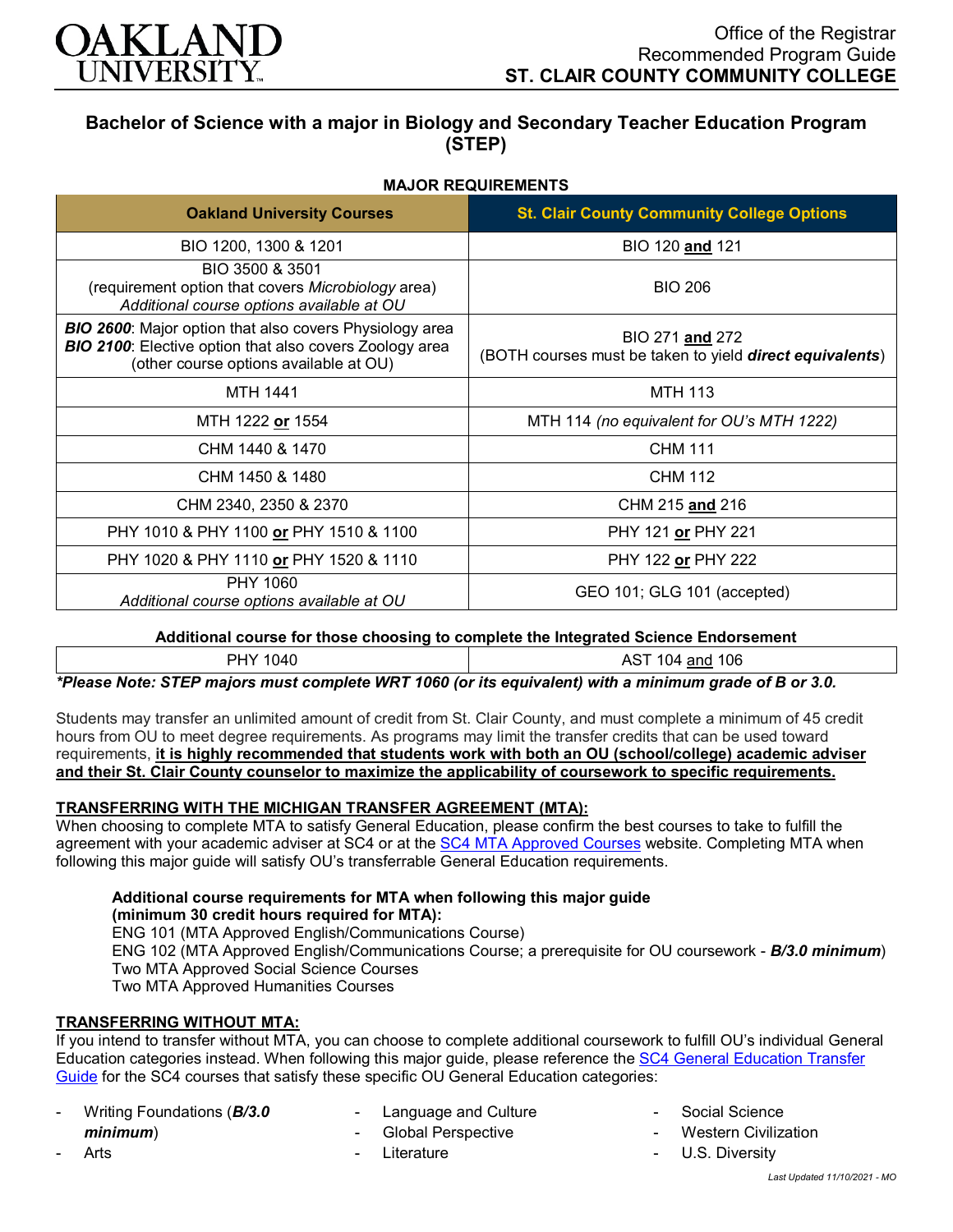

# **Bachelor of Science with a major in Biology and Secondary Teacher Education Program (STEP)**

# **MAJOR REQUIREMENTS**

| <b>Oakland University Courses</b>                                                                                                                                          | <b>St. Clair County Community College Options</b>                                   |
|----------------------------------------------------------------------------------------------------------------------------------------------------------------------------|-------------------------------------------------------------------------------------|
| BIO 1200, 1300 & 1201                                                                                                                                                      | BIO 120 and 121                                                                     |
| BIO 3500 & 3501<br>(requirement option that covers Microbiology area)<br>Additional course options available at OU                                                         | <b>BIO 206</b>                                                                      |
| <b>BIO 2600:</b> Major option that also covers Physiology area<br><b>BIO 2100:</b> Elective option that also covers Zoology area<br>(other course options available at OU) | BIO 271 and 272<br>(BOTH courses must be taken to yield <b>direct equivalents</b> ) |
| <b>MTH 1441</b>                                                                                                                                                            | <b>MTH 113</b>                                                                      |
| MTH 1222 or 1554                                                                                                                                                           | MTH 114 (no equivalent for OU's MTH 1222)                                           |
| CHM 1440 & 1470                                                                                                                                                            | <b>CHM 111</b>                                                                      |
| CHM 1450 & 1480                                                                                                                                                            | CHM 112                                                                             |
| CHM 2340, 2350 & 2370                                                                                                                                                      | CHM 215 and 216                                                                     |
| PHY 1010 & PHY 1100 or PHY 1510 & 1100                                                                                                                                     | PHY 121 or PHY 221                                                                  |
| PHY 1020 & PHY 1110 or PHY 1520 & 1110                                                                                                                                     | PHY 122 or PHY 222                                                                  |
| PHY 1060<br>Additional course options available at OU                                                                                                                      | GEO 101; GLG 101 (accepted)                                                         |

## **Additional course for those choosing to complete the Integrated Science Endorsement**

| DL<br>HY 1040 | <b>AST</b><br>106<br>$\sim$<br>and<br>04ا |
|---------------|-------------------------------------------|
|---------------|-------------------------------------------|

*\*Please Note: STEP majors must complete WRT 1060 (or its equivalent) with a minimum grade of B or 3.0.*

Students may transfer an unlimited amount of credit from St. Clair County, and must complete a minimum of 45 credit hours from OU to meet degree requirements. As programs may limit the transfer credits that can be used toward requirements, **it is highly recommended that students work with both an OU (school/college) academic adviser and their St. Clair County counselor to maximize the applicability of coursework to specific requirements.**

## **TRANSFERRING WITH THE MICHIGAN TRANSFER AGREEMENT (MTA):**

When choosing to complete MTA to satisfy General Education, please confirm the best courses to take to fulfill the agreement with your academic adviser at SC4 or at the [SC4 MTA Approved Courses](https://sc4.edu/admissions/transferring-after-sc4/michigan-transfer-agreement/) website. Completing MTA when following this major guide will satisfy OU's transferrable General Education requirements.

#### **Additional course requirements for MTA when following this major guide (minimum 30 credit hours required for MTA):**

ENG 101 (MTA Approved English/Communications Course) ENG 102 (MTA Approved English/Communications Course; a prerequisite for OU coursework - *B/3.0 minimum*) Two MTA Approved Social Science Courses Two MTA Approved Humanities Courses

# **TRANSFERRING WITHOUT MTA:**

If you intend to transfer without MTA, you can choose to complete additional coursework to fulfill OU's individual General Education categories instead. When following this major guide, please reference th[e SC4 General Education Transfer](https://wwwp.oakland.edu/Assets/Oakland/program-guides/st-clair-county-community-college/university-general-education-requirements/SC4%20Gen%20Ed.pdf)  [Guide](https://wwwp.oakland.edu/Assets/Oakland/program-guides/st-clair-county-community-college/university-general-education-requirements/SC4%20Gen%20Ed.pdf) for the SC4 courses that satisfy these specific OU General Education categories:

- Writing Foundations (*B/3.0 minimum*)

**Arts** 

- Language and Culture
- Global Perspective
- **Literature**
- Social Science
- **Western Civilization**
- U.S. Diversity